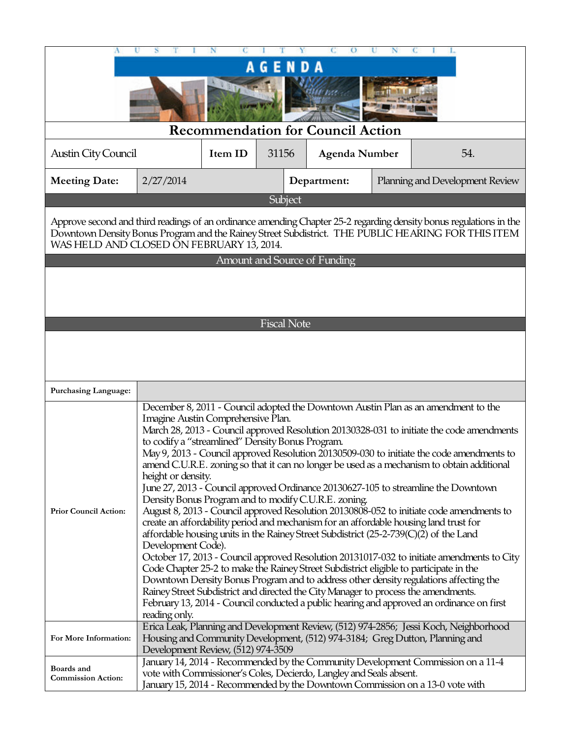| <b>Recommendation for Council Action</b><br>Item ID<br>2/27/2014                                                                                                                                                                                                                                                                                                                                                                                                                                                                                                                                                                                                                                                                                                                                                                                                                                                                                                                                                                                                                                                                                                                                                                                                                                                                                                                                                 | ENDA<br>G<br>31156 | <b>Agenda Number</b>               |                                                           |                                                                                                                                                                                                                                                                                                                                                                                                                   |  |  |  |  |
|------------------------------------------------------------------------------------------------------------------------------------------------------------------------------------------------------------------------------------------------------------------------------------------------------------------------------------------------------------------------------------------------------------------------------------------------------------------------------------------------------------------------------------------------------------------------------------------------------------------------------------------------------------------------------------------------------------------------------------------------------------------------------------------------------------------------------------------------------------------------------------------------------------------------------------------------------------------------------------------------------------------------------------------------------------------------------------------------------------------------------------------------------------------------------------------------------------------------------------------------------------------------------------------------------------------------------------------------------------------------------------------------------------------|--------------------|------------------------------------|-----------------------------------------------------------|-------------------------------------------------------------------------------------------------------------------------------------------------------------------------------------------------------------------------------------------------------------------------------------------------------------------------------------------------------------------------------------------------------------------|--|--|--|--|
|                                                                                                                                                                                                                                                                                                                                                                                                                                                                                                                                                                                                                                                                                                                                                                                                                                                                                                                                                                                                                                                                                                                                                                                                                                                                                                                                                                                                                  |                    |                                    |                                                           |                                                                                                                                                                                                                                                                                                                                                                                                                   |  |  |  |  |
|                                                                                                                                                                                                                                                                                                                                                                                                                                                                                                                                                                                                                                                                                                                                                                                                                                                                                                                                                                                                                                                                                                                                                                                                                                                                                                                                                                                                                  |                    |                                    |                                                           |                                                                                                                                                                                                                                                                                                                                                                                                                   |  |  |  |  |
|                                                                                                                                                                                                                                                                                                                                                                                                                                                                                                                                                                                                                                                                                                                                                                                                                                                                                                                                                                                                                                                                                                                                                                                                                                                                                                                                                                                                                  |                    |                                    |                                                           |                                                                                                                                                                                                                                                                                                                                                                                                                   |  |  |  |  |
|                                                                                                                                                                                                                                                                                                                                                                                                                                                                                                                                                                                                                                                                                                                                                                                                                                                                                                                                                                                                                                                                                                                                                                                                                                                                                                                                                                                                                  |                    |                                    |                                                           |                                                                                                                                                                                                                                                                                                                                                                                                                   |  |  |  |  |
|                                                                                                                                                                                                                                                                                                                                                                                                                                                                                                                                                                                                                                                                                                                                                                                                                                                                                                                                                                                                                                                                                                                                                                                                                                                                                                                                                                                                                  |                    |                                    |                                                           | 54.                                                                                                                                                                                                                                                                                                                                                                                                               |  |  |  |  |
|                                                                                                                                                                                                                                                                                                                                                                                                                                                                                                                                                                                                                                                                                                                                                                                                                                                                                                                                                                                                                                                                                                                                                                                                                                                                                                                                                                                                                  |                    | Department:                        |                                                           | Planning and Development Review                                                                                                                                                                                                                                                                                                                                                                                   |  |  |  |  |
|                                                                                                                                                                                                                                                                                                                                                                                                                                                                                                                                                                                                                                                                                                                                                                                                                                                                                                                                                                                                                                                                                                                                                                                                                                                                                                                                                                                                                  | Subject            |                                    |                                                           |                                                                                                                                                                                                                                                                                                                                                                                                                   |  |  |  |  |
| Approve second and third readings of an ordinance amending Chapter 25-2 regarding density bonus regulations in the<br>Downtown Density Bonus Program and the Rainey Street Subdistrict. THE PUBLIC HEARING FOR THIS ITEM<br>WAS HELD AND CLOSED ON FEBRUARY 13, 2014.                                                                                                                                                                                                                                                                                                                                                                                                                                                                                                                                                                                                                                                                                                                                                                                                                                                                                                                                                                                                                                                                                                                                            |                    |                                    |                                                           |                                                                                                                                                                                                                                                                                                                                                                                                                   |  |  |  |  |
|                                                                                                                                                                                                                                                                                                                                                                                                                                                                                                                                                                                                                                                                                                                                                                                                                                                                                                                                                                                                                                                                                                                                                                                                                                                                                                                                                                                                                  |                    |                                    |                                                           |                                                                                                                                                                                                                                                                                                                                                                                                                   |  |  |  |  |
|                                                                                                                                                                                                                                                                                                                                                                                                                                                                                                                                                                                                                                                                                                                                                                                                                                                                                                                                                                                                                                                                                                                                                                                                                                                                                                                                                                                                                  |                    |                                    |                                                           |                                                                                                                                                                                                                                                                                                                                                                                                                   |  |  |  |  |
|                                                                                                                                                                                                                                                                                                                                                                                                                                                                                                                                                                                                                                                                                                                                                                                                                                                                                                                                                                                                                                                                                                                                                                                                                                                                                                                                                                                                                  |                    |                                    |                                                           |                                                                                                                                                                                                                                                                                                                                                                                                                   |  |  |  |  |
|                                                                                                                                                                                                                                                                                                                                                                                                                                                                                                                                                                                                                                                                                                                                                                                                                                                                                                                                                                                                                                                                                                                                                                                                                                                                                                                                                                                                                  |                    |                                    |                                                           |                                                                                                                                                                                                                                                                                                                                                                                                                   |  |  |  |  |
|                                                                                                                                                                                                                                                                                                                                                                                                                                                                                                                                                                                                                                                                                                                                                                                                                                                                                                                                                                                                                                                                                                                                                                                                                                                                                                                                                                                                                  |                    |                                    |                                                           |                                                                                                                                                                                                                                                                                                                                                                                                                   |  |  |  |  |
|                                                                                                                                                                                                                                                                                                                                                                                                                                                                                                                                                                                                                                                                                                                                                                                                                                                                                                                                                                                                                                                                                                                                                                                                                                                                                                                                                                                                                  |                    |                                    |                                                           |                                                                                                                                                                                                                                                                                                                                                                                                                   |  |  |  |  |
|                                                                                                                                                                                                                                                                                                                                                                                                                                                                                                                                                                                                                                                                                                                                                                                                                                                                                                                                                                                                                                                                                                                                                                                                                                                                                                                                                                                                                  |                    |                                    |                                                           |                                                                                                                                                                                                                                                                                                                                                                                                                   |  |  |  |  |
|                                                                                                                                                                                                                                                                                                                                                                                                                                                                                                                                                                                                                                                                                                                                                                                                                                                                                                                                                                                                                                                                                                                                                                                                                                                                                                                                                                                                                  |                    |                                    |                                                           |                                                                                                                                                                                                                                                                                                                                                                                                                   |  |  |  |  |
| December 8, 2011 - Council adopted the Downtown Austin Plan as an amendment to the<br>Imagine Austin Comprehensive Plan.<br>March 28, 2013 - Council approved Resolution 20130328-031 to initiate the code amendments<br>to codify a "streamlined" Density Bonus Program.<br>May 9, 2013 - Council approved Resolution 20130509-030 to initiate the code amendments to<br>amend C.U.R.E. zoning so that it can no longer be used as a mechanism to obtain additional<br>height or density.<br>June 27, 2013 - Council approved Ordinance 20130627-105 to streamline the Downtown<br>Density Bonus Program and to modify C.U.R.E. zoning.<br>August 8, 2013 - Council approved Resolution 20130808-052 to initiate code amendments to<br>create an affordability period and mechanism for an affordable housing land trust for<br>affordable housing units in the Rainey Street Subdistrict (25-2-739(C)(2) of the Land<br>Development Code).<br>October 17, 2013 - Council approved Resolution 20131017-032 to initiate amendments to City<br>Code Chapter 25-2 to make the Rainey Street Subdistrict eligible to participate in the<br>Downtown Density Bonus Program and to address other density regulations affecting the<br>Rainey Street Subdistrict and directed the City Manager to process the amendments.<br>February 13, 2014 - Council conducted a public hearing and approved an ordinance on first |                    |                                    |                                                           |                                                                                                                                                                                                                                                                                                                                                                                                                   |  |  |  |  |
|                                                                                                                                                                                                                                                                                                                                                                                                                                                                                                                                                                                                                                                                                                                                                                                                                                                                                                                                                                                                                                                                                                                                                                                                                                                                                                                                                                                                                  |                    |                                    |                                                           |                                                                                                                                                                                                                                                                                                                                                                                                                   |  |  |  |  |
|                                                                                                                                                                                                                                                                                                                                                                                                                                                                                                                                                                                                                                                                                                                                                                                                                                                                                                                                                                                                                                                                                                                                                                                                                                                                                                                                                                                                                  | reading only.      | Development Review, (512) 974-3509 | <b>Amount and Source of Funding</b><br><b>Fiscal Note</b> | Erica Leak, Planning and Development Review, (512) 974-2856; Jessi Koch, Neighborhood<br>Housing and Community Development, (512) 974-3184; Greg Dutton, Planning and<br>January 14, 2014 - Recommended by the Community Development Commission on a 11-4<br>vote with Commissioner's Coles, Decierdo, Langley and Seals absent.<br>January 15, 2014 - Recommended by the Downtown Commission on a 13-0 vote with |  |  |  |  |